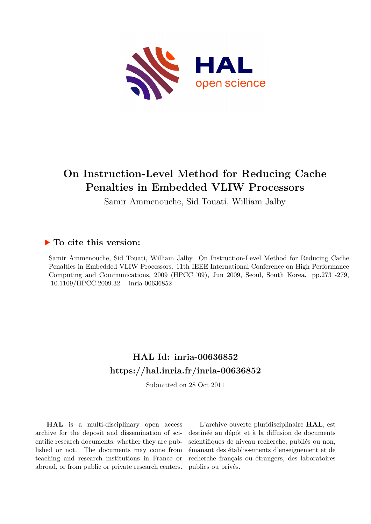

# **On Instruction-Level Method for Reducing Cache Penalties in Embedded VLIW Processors**

Samir Ammenouche, Sid Touati, William Jalby

# **To cite this version:**

Samir Ammenouche, Sid Touati, William Jalby. On Instruction-Level Method for Reducing Cache Penalties in Embedded VLIW Processors. 11th IEEE International Conference on High Performance Computing and Communications, 2009 (HPCC '09), Jun 2009, Seoul, South Korea. pp.273 -279, 10.1109/HPCC.2009.32. inria-00636852

# **HAL Id: inria-00636852 <https://hal.inria.fr/inria-00636852>**

Submitted on 28 Oct 2011

**HAL** is a multi-disciplinary open access archive for the deposit and dissemination of scientific research documents, whether they are published or not. The documents may come from teaching and research institutions in France or abroad, or from public or private research centers.

L'archive ouverte pluridisciplinaire **HAL**, est destinée au dépôt et à la diffusion de documents scientifiques de niveau recherche, publiés ou non, émanant des établissements d'enseignement et de recherche français ou étrangers, des laboratoires publics ou privés.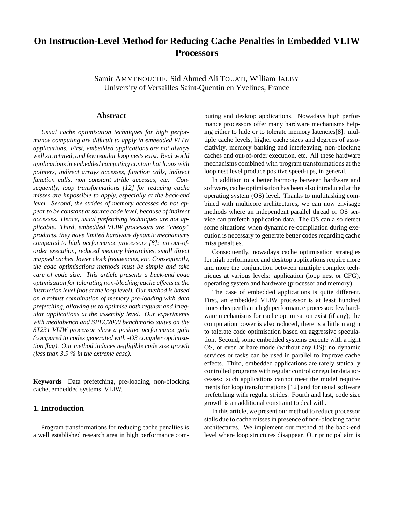# **On Instruction-Level Method for Reducing Cache Penalties in Embedded VLIW Processors**

Samir AMMENOUCHE, Sid Ahmed Ali TOUATI, William JALBY University of Versailles Saint-Quentin en Yvelines, France

#### **Abstract**

*Usual cache optimisation techniques for high performance computing are difficult to apply in embedded VLIW applications. First, embedded applications are not always well structured, and few regular loop nests exist. Real world applications in embedded computing contain hot loops with pointers, indirect arrays accesses, function calls, indirect function calls, non constant stride accesses, etc. Consequently, loop transformations [12] for reducing cache misses are impossible to apply, especially at the back-end level. Second, the strides of memory accesses do not appear to be constant at source code level, because of indirect accesses. Hence, usual prefetching techniques are not applicable. Third, embedded VLIW processors are "cheap" products, they have limited hardware dynamic mechanisms compared to high performance processors [8]: no out-oforder execution, reduced memory hierarchies, small direct mapped caches, lower clock frequencies, etc. Consequently, the code optimisations methods must be simple and take care of code size. This article presents a back-end code optimisation for tolerating non-blocking cache effects at the instruction level (not at the loop level). Our method is based on a robust combination of memory pre-loading with data prefetching, allowing us to optimise both regular and irregular applications at the assembly level. Our experiments with mediabench and SPEC2000 benchmarks suites on the ST231 VLIW processor show a positive performance gain (compared to codes generated with -O3 compiler optimisation flag). Our method induces negligible code size growth (less than 3.9 % in the extreme case).*

**Keywords** Data prefetching, pre-loading, non-blocking cache, embedded systems, VLIW.

# **1. Introduction**

Program transformations for reducing cache penalties is a well established research area in high performance computing and desktop applications. Nowadays high performance processors offer many hardware mechanisms helping either to hide or to tolerate memory latencies[8]: multiple cache levels, higher cache sizes and degrees of associativity, memory banking and interleaving, non-blocking caches and out-of-order execution, etc. All these hardware mechanisms combined with program transformations at the loop nest level produce positive speed-ups, in general.

In addition to a better harmony between hardware and software, cache optimisation has been also introduced at the operating system (OS) level. Thanks to multitasking combined with multicore architectures, we can now envisage methods where an independent parallel thread or OS service can prefetch application data. The OS can also detect some situations when dynamic re-compilation during execution is necessary to generate better codes regarding cache miss penalties.

Consequently, nowadays cache optimisation strategies for high performance and desktop applications require more and more the conjunction between multiple complex techniques at various levels: application (loop nest or CFG), operating system and hardware (processor and memory).

The case of embedded applications is quite different. First, an embedded VLIW processor is at least hundred times cheaper than a high performance processor: few hardware mechanisms for cache optimisation exist (if any); the computation power is also reduced, there is a little margin to tolerate code optimisation based on aggressive speculation. Second, some embedded systems execute with a light OS, or even at bare mode (without any OS): no dynamic services or tasks can be used in parallel to improve cache effects. Third, embedded applications are rarely statically controlled programs with regular control or regular data accesses: such applications cannot meet the model requirements for loop transformations [12] and for usual software prefetching with regular strides. Fourth and last, code size growth is an additional constraint to deal with.

In this article, we present our method to reduce processor stalls due to cache misses in presence of non-blocking cache architectures. We implement our method at the back-end level where loop structures disappear. Our principal aim is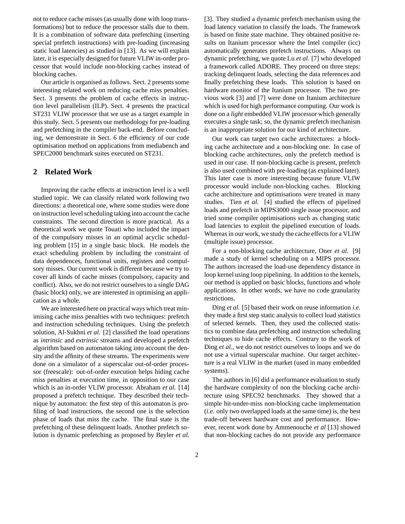not to reduce cache misses (as usually done with loop transformations) but to reduce the processor stalls due to them. It is a combination of software data prefetching (inserting special prefetch instructions) with pre-loading (increasing static load latencies) as studied in [13]. As we will explain later, it is especially designed for future VLIW in-order processor that would include non-blocking caches instead of blocking caches.

Our article is organised as follows. Sect. 2 presents some interesting related work on reducing cache miss penalties. Sect. 3 presents the problem of cache effects in instruction level parallelism (ILP). Sect. 4 presents the practical ST231 VLIW processor that we use as a target example in this study. Sect. 5 presents our methodology for pre-loading and prefetching in the compiler back-end. Before concluding, we demonstrate in Sect. 6 the efficiency of our code optimisation method on applications from mediabench and SPEC2000 benchmark suites executed on ST231.

# **2 Related Work**

Improving the cache effects at instruction level is a well studied topic. We can classify related work following two directions: a theoretical one, where some studies were done on instruction level scheduling taking into account the cache constraints. The second direction is more practical. As a theoretical work we quote Touati who included the impact of the compulsory misses in an optimal acyclic scheduling problem [15] in a single basic block. He models the exact scheduling problem by including the constraint of data dependences, functional units, registers and compulsory misses. Our current work is different because we try to cover all kinds of cache misses (compulsory, capacity and conflict). Also, we do not restrict ourselves to a single DAG (basic block) only, we are interested in optimising an application as a whole.

We are interested here on practical ways which treat minimising cache miss penalties with two techniques: prefetch and instruction scheduling techniques. Using the prefetch solution, Al-Sukhni *et al.* [2] classified the load operations as *intrinsic* and *extrinsic* streams and developed a prefetch algorithm based on automaton taking into account the density and the affinity of these streams. The experiments were done on a simulator of a superscalar out-of-order processor (freescale): out-of-order execution helps hiding cache miss penalties at execution time, in opposition to our case which is an in-order VLIW processor. Abraham *et al.* [14] proposed a prefetch technique. They described their technique by automaton: the first step of this automaton is profiling of load instructions, the second one is the selection phase of loads that miss the cache. The final state is the prefetching of these delinquent loads. Another prefetch solution is dynamic prefetching as proposed by Beyler *et al.*

[3]. They studied a dynamic prefetch mechanism using the load latency variation to classify the loads. The framework is based on finite state machine. They obtained positive results on Itanium processor where the Intel compiler (icc) automatically generates prefetch instructions. Always on dynamic prefetching, we quote Lu *et al.* [7] who developed a framework called ADORE. They proceed on three steps: tracking delinquent loads, selecting the data references and finally prefetching these loads. This solution is based on hardware monitor of the Itanium processor. The two previous work [3] and [7] were done on Itanium architecture which is used for high performance computing. Our work is done on a *light* embedded VLIW processor which generally executes a single task; so, the dynamic prefetch mechanism is an inappropriate solution for our kind of architecture.

Our work can target two cache architectures: a blocking cache architecture and a non-blocking one. In case of blocking cache architectures, only the prefetch method is used in our case. If non-blocking cache is present, prefetch is also used combined with pre-loading (as explained later). This later case is more interesting because future VLIW processor would include non-blocking caches. Blocking cache architecture and optimisations were treated in many studies. Tien *et al.* [4] studied the effects of pipelined loads and prefetch in MIPS3000 single issue processor, and tried some compiler optimisations such as changing static load latencies to exploit the pipelined execution of loads. Whereas in our work, we study the cache effects for a VLIW (multiple issue) processor.

For a non-blocking cache architecture, Oner *et al.* [9] made a study of kernel scheduling on a MIPS processor. The authors increased the load-use dependency distance in loop kernel using loop pipelining. In addition to the kernels, our method is applied on basic blocks, functions and whole applications. In other words, we have no code granularity restrictions.

Ding *et al.* [5] based their work on reuse information *i.e.* they made a first step static analysis to collect load statistics of selected kernels. Then, they used the collected statistics to combine data prefetching and instruction scheduling techniques to hide cache effects. Contrary to the work of Ding *et al.*, we do not restrict ourselves to loops and we do not use a virtual superscalar machine. Our target architecture is a real VLIW in the market (used in many embedded systems).

The authors in [6] did a performance evaluation to study the hardware complexity of non the blocking cache architecture using SPEC92 benchmarks. They showed that a simple hit-under-miss non-blocking cache implementation (*i.e.* only two overlapped loads at the same time) is, the best trade-off between hardware cost and performance. However, recent work done by Ammenouche *et al* [13] showed that non-blocking caches do not provide any performance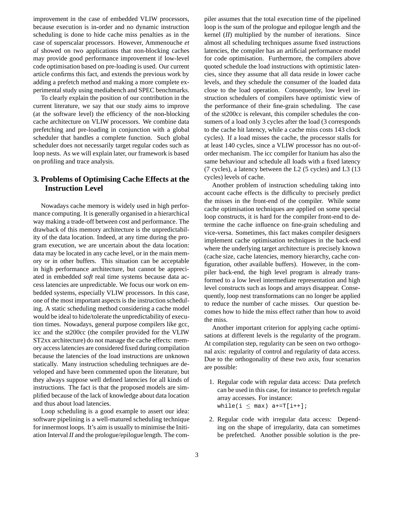improvement in the case of embedded VLIW processors, because execution is in-order and no dynamic instruction scheduling is done to hide cache miss penalties as in the case of superscalar processors. However, Ammenouche *et al* showed on two applications that non-blocking caches may provide good performance improvement if low-level code optimisation based on pre-loading is used. Our current article confirms this fact, and extends the previous work by adding a prefetch method and making a more complete experimental study using mediabench and SPEC benchmarks.

To clearly explain the position of our contribution in the current literature, we say that our study aims to improve (at the software level) the efficiency of the non-blocking cache architecture on VLIW processors. We combine data prefetching and pre-loading in conjunction with a global scheduler that handles a complete function. Such global scheduler does not necessarily target regular codes such as loop nests. As we will explain later, our framework is based on profiling and trace analysis.

# **3. Problems of Optimising Cache Effects at the Instruction Level**

Nowadays cache memory is widely used in high performance computing. It is generally organised in a hierarchical way making a trade-off between cost and performance. The drawback of this memory architecture is the unpredictability of the data location. Indeed, at any time during the program execution, we are uncertain about the data location: data may be located in any cache level, or in the main memory or in other buffers. This situation can be acceptable in high performance architecture, but cannot be appreciated in embedded *soft* real time systems because data access latencies are unpredictable. We focus our work on embedded systems, especially VLIW processors. In this case, one of the most important aspects is the instruction scheduling. A static scheduling method considering a cache model would be ideal to hide/tolerate the unpredictability of execution times. Nowadays, general purpose compilers like gcc, icc and the st200cc (the compiler provided for the VLIW ST2xx architecture) do not manage the cache effects: memory access latencies are considered fixed during compilation because the latencies of the load instructions are unknown statically. Many instruction scheduling techniques are developed and have been commented upon the literature, but they always suppose well defined latencies for all kinds of instructions. The fact is that the proposed models are simplified because of the lack of knowledge about data location and thus about load latencies.

Loop scheduling is a good example to assert our idea: software pipelining is a well-matured scheduling technique for innermost loops. It's aim is usually to minimise the Initiation Interval *II* and the prologue/epilogue length. The compiler assumes that the total execution time of the pipelined loop is the sum of the prologue and epilogue length and the kernel (*II*) multiplied by the number of iterations. Since almost all scheduling techniques assume fixed instructions latencies, the compiler has an artificial performance model for code optimisation. Furthermore, the compilers above quoted schedule the load instructions with optimistic latencies, since they assume that all data reside in lower cache levels, and they schedule the consumer of the loaded data close to the load operation. Consequently, low level instruction schedulers of compilers have optimistic view of the performance of their fine-grain scheduling. The case of the st200cc is relevant, this compiler schedules the consumers of a load only 3 cycles after the load (3 corresponds to the cache hit latency, while a cache miss costs 143 clock cycles). If a load misses the cache, the processor stalls for at least 140 cycles, since a VLIW processor has no out-oforder mechanism. The icc compiler for Itanium has also the same behaviour and schedule all loads with a fixed latency (7 cycles), a latency between the L2 (5 cycles) and L3 (13 cycles) levels of cache.

Another problem of instruction scheduling taking into account cache effects is the difficulty to precisely predict the misses in the front-end of the compiler. While some cache optimisation techniques are applied on some special loop constructs, it is hard for the compiler front-end to determine the cache influence on fine-grain scheduling and vice-versa. Sometimes, this fact makes compiler designers implement cache optimisation techniques in the back-end where the underlying target architecture is precisely known (cache size, cache latencies, memory hierarchy, cache configuration, other available buffers). However, in the compiler back-end, the high level program is already transformed to a low level intermediate representation and high level constructs such as loops and arrays disappear. Consequently, loop nest transformations can no longer be applied to reduce the number of cache misses. Our question becomes how to hide the miss effect rather than how to avoid the miss.

Another important criterion for applying cache optimisations at different levels is the regularity of the program. At compilation step, regularity can be seen on two orthogonal axis: regularity of control and regularity of data access. Due to the orthogonality of these two axis, four scenarios are possible:

1. Regular code with regular data access: Data prefetch can be used in this case, for instance to prefetch regular array accesses. For instance:

while(i  $\leq$  max) a+=T[i++];

2. Regular code with irregular data access: Depending on the shape of irregularity, data can sometimes be prefetched. Another possible solution is the pre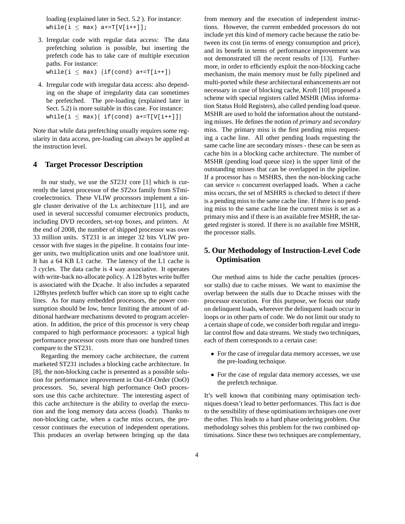loading (explained later in Sect. 5.2 ). For instance: while(i  $\leq$  max) a+=T[V[i++]];

- 3. Irregular code with regular data access: The data prefetching solution is possible, but inserting the prefetch code has to take care of multiple execution paths. For instance: while( $i \leq max$ )  $\{if(cond) a+=T[i++]\}$
- 4. Irregular code with irregular data access: also depending on the shape of irregularity data can sometimes be prefetched. The pre-loading (explained later in Sect. 5.2) is more suitable in this case. For instance: while(i  $\leq$  max){ if(cond) a+=T[V[i++]]}

Note that while data prefetching usually requires some regularity in data access, pre-loading can always be applied at the instruction level.

#### **4 Target Processor Description**

In our study, we use the *ST231* core [1] which is currently the latest processor of the *ST2xx* family from STmicroelectronics. These VLIW processors implement a single cluster derivative of the Lx architecture [11], and are used in several successful consumer electronics products, including DVD recorders, set-top boxes, and printers. At the end of 2008, the number of shipped processor was over 33 million units. ST231 is an integer 32 bits VLIW processor with five stages in the pipeline. It contains four integer units, two multiplication units and one load/store unit. It has a 64 KB L1 cache. The latency of the L1 cache is 3 cycles. The data cache is 4 way associative. It operates with write-back no-allocate policy. A 128 bytes write buffer is associated with the Dcache. It also includes a separated 128bytes prefetch buffer which can store up to eight cache lines. As for many embedded processors, the power consumption should be low, hence limiting the amount of additional hardware mechanisms devoted to program acceleration. In addition, the price of this processor is very cheap compared to high performance processors: a typical high performance processor costs more than one hundred times compare to the ST231.

Regarding the memory cache architecture, the current marketed ST231 includes a blocking cache architecture. In [8], the non-blocking cache is presented as a possible solution for performance improvement in Out-Of-Order (OoO) processors. So, several high performance OoO processors use this cache architecture. The interesting aspect of this cache architecture is the ability to overlap the execution and the long memory data access (loads). Thanks to non-blocking cache, when a cache miss occurs, the processor continues the execution of independent operations. This produces an overlap between bringing up the data

from memory and the execution of independent instructions. However, the current embedded processors do not include yet this kind of memory cache because the ratio between its cost (in terms of energy consumption and price), and its benefit in terms of performance improvement was not demonstrated till the recent results of [13]. Furthermore, in order to efficiently exploit the non-blocking cache mechanism, the main memory must be fully pipelined and multi-ported while these architectural enhancements are not necessary in case of blocking cache, Kroft [10] proposed a scheme with special registers called MSHR (Miss information Status Hold Registers), also called pending load queue. MSHR are used to hold the information about the outstanding misses. He defines the notion of *primary* and *secondary* miss. The primary miss is the first pending miss requesting a cache line. All other pending loads requesting the same cache line are secondary misses - these can be seen as cache hits in a blocking cache architecture. The number of MSHR (pending load queue size) is the upper limit of the outstanding misses that can be overlapped in the pipeline. If a processor has  $n$  MSHRS, then the non-blocking cache can service n concurrent overlapped loads. When a cache miss occurs, the set of MSHRS is checked to detect if there is a pending miss to the same cache line. If there is no pending miss to the same cache line the current miss is set as a primary miss and if there is an available free MSHR, the targeted register is stored. If there is no available free MSHR, the processor stalls.

# **5. Our Methodology of Instruction-Level Code Optimisation**

Our method aims to hide the cache penalties (processor stalls) due to cache misses. We want to maximise the overlap between the stalls due to Dcache misses with the processor execution. For this purpose, we focus our study on delinquent loads, wherever the delinquent loads occur in loops or in other parts of code. We do not limit our study to a certain shape of code, we consider both regular and irregular control flow and data streams. We study two techniques, each of them corresponds to a certain case:

- For the case of irregular data memory accesses, we use the pre-loading technique.
- For the case of regular data memory accesses, we use the prefetch technique.

It's well known that combining many optimisation techniques doesn't lead to better performances. This fact is due to the sensibility of these optimisations techniques one over the other. This leads to a hard phase ordering problem. Our methodology solves this problem for the two combined optimisations. Since these two techniques are complementary,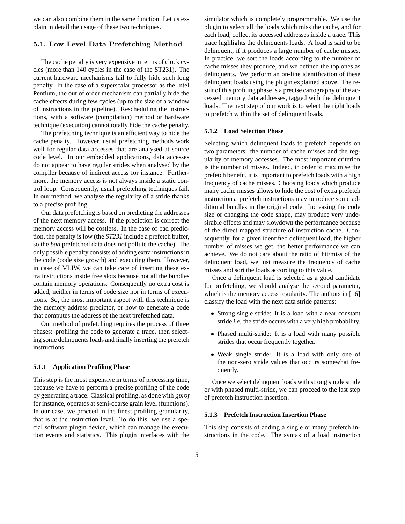we can also combine them in the same function. Let us explain in detail the usage of these two techniques.

#### 5.1. Low Level Data Prefetching Method

The cache penalty is very expensive in terms of clock cycles (more than 140 cycles in the case of the ST231). The current hardware mechanisms fail to fully hide such long penalty. In the case of a superscalar processor as the Intel Pentium, the out of order mechanism can partially hide the cache effects during few cycles (up to the size of a window of instructions in the pipeline). Rescheduling the instructions, with a software (compilation) method or hardware technique (execution) cannot totally hide the cache penalty.

The prefetching technique is an efficient way to hide the cache penalty. However, usual prefetching methods work well for regular data accesses that are analysed at source code level. In our embedded applications, data accesses do not appear to have regular strides when analysed by the compiler because of indirect access for instance. Furthermore, the memory access is not always inside a static control loop. Consequently, usual prefetching techniques fail. In our method, we analyse the regularity of a stride thanks to a precise profiling.

Our data prefetching is based on predicting the addresses of the next memory access. If the prediction is correct the memory access will be costless. In the case of bad prediction, the penalty is low (the *ST231* include a prefetch buffer, so the *bad* prefetched data does not pollute the cache). The only possible penalty consists of adding extra instructions in the code (code size growth) and executing them. However, in case of VLIW, we can take care of inserting these extra instructions inside free slots because not all the bundles contain memory operations. Consequently no extra cost is added, neither in terms of code size nor in terms of executions. So, the most important aspect with this technique is the memory address predictor, or how to generate a code that computes the address of the next prefetched data.

Our method of prefetching requires the process of three phases: profiling the code to generate a trace, then selecting some delinquents loads and finally inserting the prefetch instructions.

#### **5.1.1 Application Profiling Phase**

This step is the most expensive in terms of processing time, because we have to perform a precise profiling of the code by generating a trace. Classical profiling, as done with *gprof* for instance, operates at semi-coarse grain level (functions). In our case, we proceed in the finest profiling granularity, that is at the instruction level. To do this, we use a special software plugin device, which can manage the execution events and statistics. This plugin interfaces with the

simulator which is completely programmable. We use the plugin to select all the loads which miss the cache, and for each load, collect its accessed addresses inside a trace. This trace highlights the delinquents loads. A load is said to be delinquent, if it produces a large number of cache misses. In practice, we sort the loads according to the number of cache misses they produce, and we defined the top ones as delinquents. We perform an on-line identification of these delinquent loads using the plugin explained above. The result of this profiling phase is a precise cartography of the accessed memory data addresses, tagged with the delinquent loads. The next step of our work is to select the right loads to prefetch within the set of delinquent loads.

#### **5.1.2 Load Selection Phase**

Selecting which delinquent loads to prefetch depends on two parameters: the number of cache misses and the regularity of memory accesses. The most important criterion is the number of misses. Indeed, in order to maximise the prefetch benefit, it is important to prefetch loads with a high frequency of cache misses. Choosing loads which produce many cache misses allows to hide the cost of extra prefetch instructions: prefetch instructions may introduce some additional bundles in the original code. Increasing the code size or changing the code shape, may produce very undesirable effects and may slowdown the performance because of the direct mapped structure of instruction cache. Consequently, for a given identified delinquent load, the higher number of misses we get, the better performance we can achieve. We do not care about the ratio of hit/miss of the delinquent load, we just measure the frequency of cache misses and sort the loads according to this value.

Once a delinquent load is selected as a good candidate for prefetching, we should analyse the second parameter, which is the memory access regularity. The authors in [16] classify the load with the next data stride patterns:

- Strong single stride: It is a load with a near constant stride *i.e.* the stride occurs with a very high probability.
- Phased multi-stride: It is a load with many possible strides that occur frequently together.
- Weak single stride: It is a load with only one of the non-zero stride values that occurs somewhat frequently.

Once we select delinquent loads with strong single stride or with phased multi-stride, we can proceed to the last step of prefetch instruction insertion.

#### **5.1.3 Prefetch Instruction Insertion Phase**

This step consists of adding a single or many prefetch instructions in the code. The syntax of a load instruction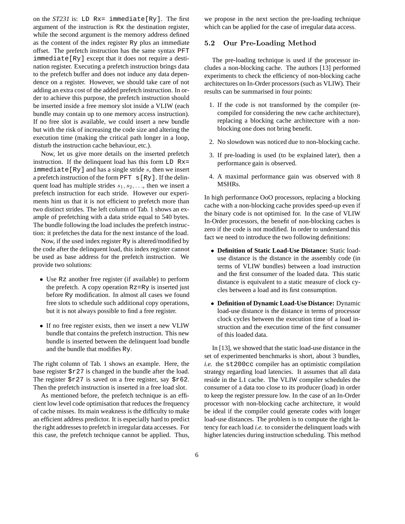on the *ST231* is: LD Rx= immediate[Ry]. The first argument of the instruction is Rx the destination register, while the second argument is the memory address defined as the content of the index register Ry plus an immediate offset. The prefetch instruction has the same syntax PFT immediate[Ry] except that it does not require a destination register. Executing a prefetch instruction brings data to the prefetch buffer and does not induce any data dependence on a register. However, we should take care of not adding an extra cost of the added prefetch instruction. In order to achieve this purpose, the prefetch instruction should be inserted inside a free memory slot inside a VLIW (each bundle may contain up to one memory access instruction). If no free slot is available, we could insert a new bundle but with the risk of increasing the code size and altering the execution time (making the critical path longer in a loop, disturb the instruction cache behaviour, etc.).

Now, let us give more details on the inserted prefetch instruction. If the delinquent load has this form LD Rx=  $immediate[Ry]$  and has a single stride s, then we insert a prefetch instruction of the form  $PFT \s [Ry]$ . If the delinquent load has multiple strides  $s_1, s_2, \ldots$ , then we insert a prefetch instruction for each stride. However our experiments hint us that it is not efficient to prefetch more than two distinct strides. The left column of Tab. 1 shows an example of prefetching with a data stride equal to 540 bytes. The bundle following the load includes the prefetch instruction: it prefetches the data for the next instance of the load.

Now, if the used index register Ry is altered/modified by the code after the delinquent load, this index register cannot be used as base address for the prefetch instruction. We provide two solutions:

- Use Rz another free register (if available) to perform the prefetch. A copy operation Rz=Ry is inserted just before Ry modification. In almost all cases we found free slots to schedule such additional copy operations, but it is not always possible to find a free register.
- If no free register exists, then we insert a new VLIW bundle that contains the prefetch instruction. This new bundle is inserted between the delinquent load bundle and the bundle that modifies Ry.

The right column of Tab. 1 shows an example. Here, the base register \$r27 is changed in the bundle after the load. The register  $$r27$  is saved on a free register, say  $$r62$ . Then the prefetch instruction is inserted in a free load slot.

As mentioned before, the prefetch technique is an efficient low level code optimisation that reduces the frequency of cache misses. Its main weakness is the difficulty to make an efficient address predictor. It is especially hard to predict the right addresses to prefetch in irregular data accesses. For this case, the prefetch technique cannot be applied. Thus,

we propose in the next section the pre-loading technique which can be applied for the case of irregular data access.

#### 5.2 Our Pre-Loading Method

The pre-loading technique is used if the processor includes a non-blocking cache. The authors [13] performed experiments to check the efficiency of non-blocking cache architectures on In-Order processors (such as VLIW). Their results can be summarised in four points:

- 1. If the code is not transformed by the compiler (recompiled for considering the new cache architecture), replacing a blocking cache architecture with a nonblocking one does not bring benefit.
- 2. No slowdown was noticed due to non-blocking cache.
- 3. If pre-loading is used (to be explained later), then a performance gain is observed.
- 4. A maximal performance gain was observed with 8 MSHRs.

In high performance OoO processors, replacing a blocking cache with a non-blocking cache provides speed-up even if the binary code is not optimised for. In the case of VLIW In-Order processors, the benefit of non-blocking caches is zero if the code is not modified. In order to understand this fact we need to introduce the two following definitions:

- **Definition of Static Load-Use Distance:** Static loaduse distance is the distance in the assembly code (in terms of VLIW bundles) between a load instruction and the first consumer of the loaded data. This static distance is equivalent to a static measure of clock cycles between a load and its first consumption.
- **Definition of Dynamic Load-Use Distance:** Dynamic load-use distance is the distance in terms of processor clock cycles between the execution time of a load instruction and the execution time of the first consumer of this loaded data.

In [13], we showed that the static load-use distance in the set of experimented benchmarks is short, about 3 bundles, *i.e.* the st200cc compiler has an optimistic compilation strategy regarding load latencies. It assumes that all data reside in the L1 cache. The VLIW compiler schedules the consumer of a data too close to its producer (load) in order to keep the register pressure low. In the case of an In-Order processor with non-blocking cache architecture, it would be ideal if the compiler could generate codes with longer load-use distances. The problem is to compute the right latency for each load *i.e.* to consider the delinquent loads with higher latencies during instruction scheduling. This method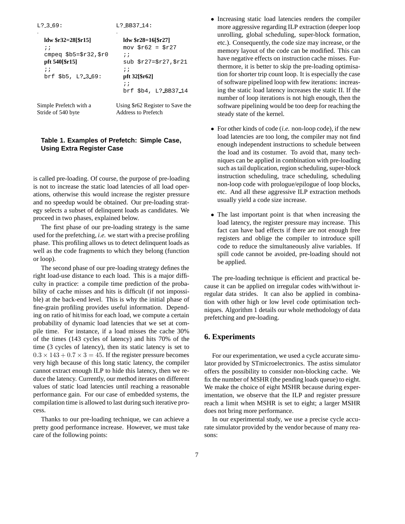| $L$ ? 3.69:             | $L?$ $BB37_14:$                                   |
|-------------------------|---------------------------------------------------|
| $ldw$ \$r32=28 $[$r15]$ | ldw \$r28=16[\$r27]                               |
| $\ddot{i}$              | $mov$ \$r62 = \$r27                               |
| cmpeg $$b5 = $r32, $r0$ | $\vdots$                                          |
| pft 540[\$r15]          | sub \$r27=\$r27.\$r21                             |
| $\ddot{\phantom{0}}$    | $\ddot{i}$                                        |
| $brf$ \$b5, $L$ ? 3.69: | pft 32[\$r62]<br>$\cdots$<br>brf \$b4, L? BB37 14 |
| Simple Prefetch with a  | Using \$r62 Register to Save the                  |
| Stride of 540 byte      | Address to Prefetch                               |

# **Table 1. Examples of Prefetch: Simple Case, Using Extra Register Case**

is called pre-loading. Of course, the purpose of pre-loading is not to increase the static load latencies of all load operations, otherwise this would increase the register pressure and no speedup would be obtained. Our pre-loading strategy selects a subset of delinquent loads as candidates. We proceed in two phases, explained below.

The first phase of our pre-loading strategy is the same used for the prefetching, *i.e.* we start with a precise profiling phase. This profiling allows us to detect delinquent loads as well as the code fragments to which they belong (function or loop).

The second phase of our pre-loading strategy defines the right load-use distance to each load. This is a major difficulty in practice: a compile time prediction of the probability of cache misses and hits is difficult (if not impossible) at the back-end level. This is why the initial phase of fine-grain profiling provides useful information. Depending on ratio of hit/miss for each load, we compute a certain probability of dynamic load latencies that we set at compile time. For instance, if a load misses the cache 30% of the times (143 cycles of latency) and hits 70% of the time (3 cycles of latency), then its static latency is set to  $0.3 \times 143 + 0.7 \times 3 = 45$ . If the register pressure becomes very high because of this long static latency, the compiler cannot extract enough ILP to hide this latency, then we reduce the latency. Currently, our method iterates on different values of static load latencies until reaching a reasonable performance gain. For our case of embedded systems, the compilation time is allowed to last during such iterative process.

Thanks to our pre-loading technique, we can achieve a pretty good performance increase. However, we must take care of the following points:

- Increasing static load latencies renders the compiler more aggressive regarding ILP extraction (deeper loop unrolling, global scheduling, super-block formation, etc.). Consequently, the code size may increase, or the memory layout of the code can be modified. This can have negative effects on instruction cache misses. Furthermore, it is better to skip the pre-loading optimisation for shorter trip count loop. It is especially the case of software pipelined loop with few iterations: increasing the static load latency increases the static II. If the number of loop iterations is not high enough, then the software pipelining would be too deep for reaching the steady state of the kernel.
- For other kinds of code (*i.e.* non-loop code), if the new load latencies are too long, the compiler may not find enough independent instructions to schedule between the load and its costumer. To avoid that, many techniques can be applied in combination with pre-loading such as tail duplication, region scheduling, super-block instruction scheduling, trace scheduling, scheduling non-loop code with prologue/epilogue of loop blocks, etc. And all these aggressive ILP extraction methods usually yield a code size increase.
- The last important point is that when increasing the load latency, the register pressure may increase. This fact can have bad effects if there are not enough free registers and oblige the compiler to introduce spill code to reduce the simultaneously alive variables. If spill code cannot be avoided, pre-loading should not be applied.

The pre-loading technique is efficient and practical because it can be applied on irregular codes with/without irregular data strides. It can also be applied in combination with other high or low level code optimisation techniques. Algorithm 1 details our whole methodology of data prefetching and pre-loading.

# **6. Experiments**

For our experimentation, we used a cycle accurate simulator provided by STmicroelectronics. The astiss simulator offers the possibility to consider non-blocking cache. We fix the number of MSHR (the pending loads queue) to eight. We make the choice of eight MSHR because during experimentation, we observe that the ILP and register pressure reach a limit when MSHR is set to eight; a larger MSHR does not bring more performance.

In our experimental study, we use a precise cycle accurate simulator provided by the vendor because of many reasons: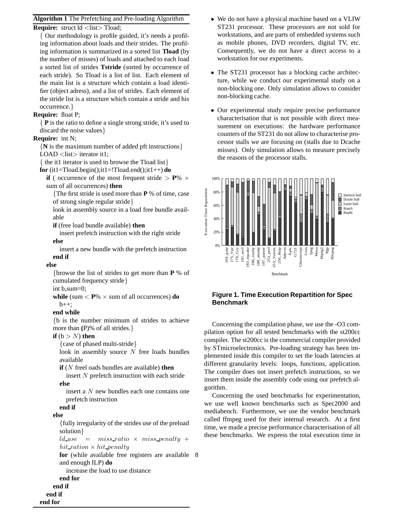# **Algorithm 1** The Prefetching and Pre-loading Algorithm

#### **Require:** struct  $\text{Id}$  <list > Tload;

{ Our methodology is profile guided, it's needs a profiling information about loads and their strides. The profiling information is summarized in a sorted list **Tload** (by the number of misses) of loads and attached to each load a sorted list of strides **Tstride** (sorted by occurrence of each stride). So Tload is a list of list. Each element of the main list is a structure which contain a load identifier (object adress), and a list of strides. Each element of the stride list is a structure which contain a stride and his occurrence.}

#### **Require:** float P;

{ **P** is the ratio to define a single strong stride, it's used to discard the noise values}

# **Require:** int N;

{**N** is the maximum number of added pft instructions}  $LOAD$  <list> iterator it1;

{ the it1 iterator is used to browse the Tload list}

**for** (it1=Tload.begin();it1=!Tload.end();it1++) **do** 

**if** ( occurrence of the most frequent stride  $>$  **P**%  $\times$ sum of all occurrences) **then**

{The first stride is used more than **P** % of time, case of strong single regular stride}

look in assembly source in a load free bundle available

**if** (free load bundle available) **then**

insert prefetch instruction with the right stride **else**

insert a new bundle with the prefetch instruction **end if**

#### **else**

{browse the list of strides to get more than **P** % of cumulated frequency stride}

int b,sum=0;

**while** (sum  $\langle P\% \times \text{sum of all occurrences} \rangle$  **do**  $b++$ :

#### **end while**

{b is the number minimum of strides to achieve more than **(**P)% of all strides.}

#### **if**  $(b > N)$  **then**

{case of phased multi-stride}

look in assembly source  $N$  free loads bundles available

**if** (N freel oads bundles are available) **then**

insert N prefetch instruction with each stride **else**

insert a N new bundles each one contains one prefetch instruction

# **end if**

#### **else**

{fully irregularity of the strides use of the preload solution}

 $ld_use = miss\_ratio \times miss\_penalty +$  $hit\_ration \times hit\_penalty$ 

**for** (while available free registers are available 8and enough ILP) **do**

increase the load to use distance

**end for**

**end if**

**end if**

**end for**

- We do not have a physical machine based on a VLIW ST231 processor. These processors are not sold for workstations, and are parts of embedded systems such as mobile phones, DVD recorders, digital TV, etc. Consequently, we do not have a direct access to a workstation for our experiments.
- The ST231 processor has a blocking cache architecture, while we conduct our experimental study on a non-blocking one. Only simulation allows to consider non-blocking cache.
- Our experimental study require precise performance characterisation that is not possible with direct measurement on executions: the hardware performance counters of the ST231 do not allow to characterise processor stalls we are focusing on (stalls due to Dcache misses). Only simulation allows to measure precisely the reasons of the processor stalls.



# **Figure 1. Time Execution Repartition for Spec Benchmark**

Concerning the compilation phase, we use the -O3 compilation option for all tested benchmarks with the st200cc compiler. The st200cc is the commercial compiler provided by STmicroelectronics. Pre-loading strategy has been implemented inside this compiler to set the loads latencies at different granularity levels: loops, functions, application. The compiler does not insert prefetch instructions, so we insert them inside the assembly code using our prefetch algorithm.

Concerning the used benchmarks for experimentation, we use well known benchmarks such as Spec2000 and mediabench. Furthermore, we use the vendor benchmark called ffmpeg used for their internal research. At a first time, we made a precise performance characterisation of all these benchmarks. We express the total execution time in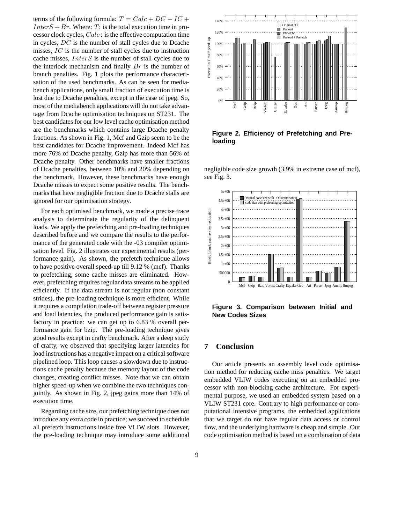terms of the following formula:  $T = Calc + DC + IC +$  $InterS + Br$ . Where: T: is the total execution time in processor clock cycles,  $Calc$ : is the effective computation time in cycles, DC is the number of stall cycles due to Dcache misses, IC is the number of stall cycles due to instruction cache misses, InterS is the number of stall cycles due to the interlock mechanism and finally  $Br$  is the number of branch penalties. Fig. 1 plots the performance characterisation of the used benchmarks. As can be seen for mediabench applications, only small fraction of execution time is lost due to Dcache penalties, except in the case of jpeg. So, most of the mediabench applications will do not take advantage from Dcache optimisation techniques on ST231. The best candidates for our low level cache optimisation method are the benchmarks which contains large Dcache penalty fractions. As shown in Fig. 1, Mcf and Gzip seem to be the best candidates for Dcache improvement. Indeed Mcf has more 76% of Dcache penalty, Gzip has more than 56% of Dcache penalty. Other benchmarks have smaller fractions of Dcache penalties, between 10% and 20% depending on the benchmark. However, these benchmarks have enough Dcache misses to expect some positive results. The benchmarks that have negligible fraction due to Dcache stalls are ignored for our optimisation strategy.

For each optimised benchmark, we made a precise trace analysis to determinate the regularity of the delinquent loads. We apply the prefetching and pre-loading techniques described before and we compare the results to the performance of the generated code with the -03 compiler optimisation level. Fig. 2 illustrates our experimental results (performance gain). As shown, the prefetch technique allows to have positive overall speed-up till 9.12 % (mcf). Thanks to prefetching, some cache misses are eliminated. However, prefetching requires regular data streams to be applied efficiently. If the data stream is not regular (non constant strides), the pre-loading technique is more efficient. While it requires a compilation trade-off between register pressure and load latencies, the produced performance gain is satisfactory in practice: we can get up to 6.83 % overall performance gain for bzip. The pre-loading technique gives good results except in crafty benchmark. After a deep study of crafty, we observed that specifying larger latencies for load instructions has a negative impact on a critical software pipelined loop. This loop causes a slowdown due to instructions cache penalty because the memory layout of the code changes, creating conflict misses. Note that we can obtain higher speed-up when we combine the two techniques conjointly. As shown in Fig. 2, jpeg gains more than 14% of execution time.

Regarding cache size, our prefetching technique does not introduce any extra code in practice; we succeed to schedule all prefetch instructions inside free VLIW slots. However, the pre-loading technique may introduce some additional



**Figure 2. Efficiency of Prefetching and Preloading**

negligible code size growth (3.9% in extreme case of mcf), see Fig. 3.



**Figure 3. Comparison between Initial and New Codes Sizes**

# **7 Conclusion**

Our article presents an assembly level code optimisation method for reducing cache miss penalties. We target embedded VLIW codes executing on an embedded processor with non-blocking cache architecture. For experimental purpose, we used an embedded system based on a VLIW ST231 core. Contrary to high performance or computational intensive programs, the embedded applications that we target do not have regular data access or control flow, and the underlying hardware is cheap and simple. Our code optimisation method is based on a combination of data